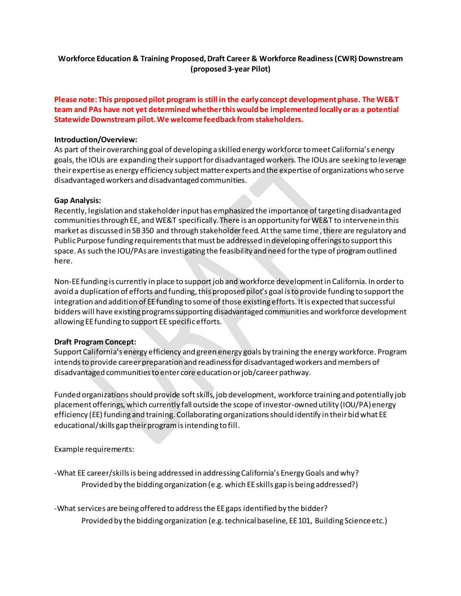## **Workforce Education & Training Proposed, Draft Career & Workforce Readiness(CWR) Downstream (proposed 3-year Pilot)**

## **Please note: This proposed pilot program is still in the early concept development phase. The WE&T team and PAs have not yet determined whether this would be implemented locally or as a potential Statewide Downstream pilot. We welcome feedback from stakeholders.**

#### **Introduction/Overview:**

As part of their overarching goal of developing a skilled energy workforce to meet California's energy goals, the IOUs are expanding their support for disadvantaged workers. The IOUs are seeking to leverage their expertise as energy efficiency subject matter experts and the expertise of organizations who serve disadvantaged workers and disadvantaged communities.

#### **Gap Analysis:**

Recently, legislation and stakeholder input has emphasized the importance of targeting disadvantaged communities through EE, and WE&T specifically. There is an opportunity for WE&T to intervene in this market as discussed in SB 350 and through stakeholder feed. At the same time, there are regulatory and Public Purpose funding requirements that must be addressed in developing offerings to support this space. As such the IOU/PAs are investigating the feasibility and need for the type of program outlined here.

Non-EE funding is currently in place to support job and workforce development in California. In order to avoid a duplication of efforts and funding, this proposed pilot's goal is to provide funding to support the integration and addition of EE funding to some of those existing efforts. It is expected that successful bidders will have existing programs supporting disadvantaged communities and workforce development allowing EE funding to support EE specific efforts.

### **Draft Program Concept:**

Support California's energy efficiency and green energy goals by training the energy workforce. Program intends to provide career preparation and readiness for disadvantaged workers and members of disadvantaged communities to enter core education or job/career pathway.

Funded organizations should provide soft skills, job development, workforce training and potentially job placement offerings, which currently fall outside the scope of investor-owned utility (IOU/PA) energy efficiency (EE) funding and training. Collaborating organizations should identify in their bid what EE educational/skills gap their program is intending to fill.

Example requirements:

-What EE career/skillsis being addressed in addressing California's Energy Goals and why? Provided by the bidding organization (e.g. which EEskills gap is being addressed?)

-What services are being offered to address the EE gaps identified by the bidder? Provided by the bidding organization (e.g. technical baseline, EE 101, Building Science etc.)